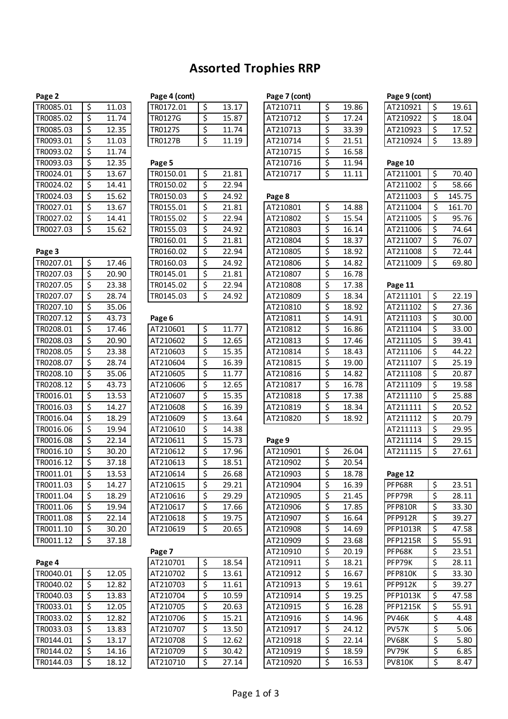# **Assorted Trophies RRP**

| TR0085.01 | \$ | 11.03 |
|-----------|----|-------|
| TR0085.02 | \$ | 11.74 |
| TR0085.03 | \$ | 12.35 |
| TR0093.01 | \$ | 11.03 |
| TR0093.02 | \$ | 11.74 |
| TR0093.03 | \$ | 12.35 |
| TR0024.01 | \$ | 13.67 |
| TR0024.02 | \$ | 14.41 |
| TR0024.03 | \$ | 15.62 |
| TR0027.01 | Ś  | 13.67 |
| TR0027.02 | \$ | 14.41 |
| TR0027.03 | \$ | 15.62 |

| Page 3    |             | TR0160.02 | \$                      | 22.94 | AT210805 | \$      | 18.92 | AT211008        | \$<br>72.44 |
|-----------|-------------|-----------|-------------------------|-------|----------|---------|-------|-----------------|-------------|
| TR0207.01 | \$<br>17.46 | TR0160.03 | \$                      | 24.92 | AT210806 | \$      | 14.82 | AT211009        | \$<br>69.80 |
| TR0207.03 | \$<br>20.90 | TR0145.01 | \$                      | 21.81 | AT210807 | \$      | 16.78 |                 |             |
| TR0207.05 | \$<br>23.38 | TR0145.02 | \$                      | 22.94 | AT210808 | \$      | 17.38 | Page 11         |             |
| TR0207.07 | \$<br>28.74 | TR0145.03 | \$                      | 24.92 | AT210809 | \$      | 18.34 | AT211101        | \$<br>22.19 |
| TR0207.10 | \$<br>35.06 |           |                         |       | AT210810 | \$      | 18.92 | AT211102        | \$<br>27.36 |
| TR0207.12 | \$<br>43.73 | Page 6    |                         |       | AT210811 | \$      | 14.91 | AT211103        | \$<br>30.00 |
| TR0208.01 | \$<br>17.46 | AT210601  | $\boldsymbol{\zeta}$    | 11.77 | AT210812 | \$      | 16.86 | AT211104        | \$<br>33.00 |
| TR0208.03 | \$<br>20.90 | AT210602  | \$                      | 12.65 | AT210813 | \$      | 17.46 | AT211105        | \$<br>39.41 |
| TR0208.05 | \$<br>23.38 | AT210603  | \$                      | 15.35 | AT210814 | \$      | 18.43 | AT211106        | \$<br>44.22 |
| TR0208.07 | \$<br>28.74 | AT210604  | \$                      | 16.39 | AT210815 | \$      | 19.00 | AT211107        | \$<br>25.19 |
| TR0208.10 | \$<br>35.06 | AT210605  | \$                      | 11.77 | AT210816 | \$      | 14.82 | AT211108        | \$<br>20.87 |
| TR0208.12 | \$<br>43.73 | AT210606  | \$                      | 12.65 | AT210817 | \$      | 16.78 | AT211109        | \$<br>19.58 |
| TR0016.01 | \$<br>13.53 | AT210607  | $\overline{\mathsf{S}}$ | 15.35 | AT210818 | \$      | 17.38 | AT211110        | \$<br>25.88 |
| TR0016.03 | \$<br>14.27 | AT210608  | \$                      | 16.39 | AT210819 | \$      | 18.34 | AT211111        | \$<br>20.52 |
| TR0016.04 | \$<br>18.29 | AT210609  | \$                      | 13.64 | AT210820 | $\zeta$ | 18.92 | AT211112        | \$<br>20.79 |
| TR0016.06 | \$<br>19.94 | AT210610  | \$                      | 14.38 |          |         |       | AT211113        | \$<br>29.95 |
| TR0016.08 | \$<br>22.14 | AT210611  | \$                      | 15.73 | Page 9   |         |       | AT211114        | \$<br>29.15 |
| TR0016.10 | \$<br>30.20 | AT210612  | \$                      | 17.96 | AT210901 | \$      | 26.04 | AT211115        | \$<br>27.61 |
| TR0016.12 | \$<br>37.18 | AT210613  | \$                      | 18.51 | AT210902 | \$      | 20.54 |                 |             |
| TR0011.01 | \$<br>13.53 | AT210614  | \$                      | 26.68 | AT210903 | \$      | 18.78 | Page 12         |             |
| TR0011.03 | \$<br>14.27 | AT210615  | \$                      | 29.21 | AT210904 | \$      | 16.39 | PFP68R          | \$<br>23.51 |
| TR0011.04 | \$<br>18.29 | AT210616  | \$                      | 29.29 | AT210905 | \$      | 21.45 | PFP79R          | \$<br>28.11 |
| TR0011.06 | \$<br>19.94 | AT210617  | \$                      | 17.66 | AT210906 | \$      | 17.85 | <b>PFP810R</b>  | \$<br>33.30 |
| TR0011.08 | \$<br>22.14 | AT210618  | \$                      | 19.75 | AT210907 | \$      | 16.64 | <b>PFP912R</b>  | \$<br>39.27 |
| TR0011.10 | \$<br>30.20 | AT210619  | Ś.                      | 20.65 | AT210908 | \$      | 14.69 | PFP1013R        | \$<br>47.58 |
| TR0011.12 | \$<br>37.18 |           |                         |       | AT210909 | \$      | 23.68 | <b>PFP1215R</b> | \$<br>55.91 |
|           |             |           |                         |       |          |         |       |                 |             |

| Page 4    |    |       |
|-----------|----|-------|
| TR0040.01 | \$ | 12.05 |
| TR0040.02 | \$ | 12.82 |
| TR0040.03 | \$ | 13.83 |
| TR0033.01 | \$ | 12.05 |
| TR0033.02 | \$ | 12.82 |
| TR0033.03 | \$ | 13.83 |
| TR0144.01 | \$ | 13.17 |
| TR0144.02 | \$ | 14.16 |
| TR0144.03 | Ś  | 18.12 |

| age 4 (cont) |
|--------------|
|--------------|

| 15.87 |
|-------|
| 11 74 |
| 11 19 |
|       |

| TR0024.01 | \$ | 13.67 | TR0150.01 | \$ | 21.81 | AT210717 | Ś  | 11.11 | AT211001 | \$ | 70.40  |
|-----------|----|-------|-----------|----|-------|----------|----|-------|----------|----|--------|
| TR0024.02 |    | 14.41 | TR0150.02 |    | 22.94 |          |    |       | AT211002 | S  | 58.66  |
| TR0024.03 | \$ | 15.62 | TR0150.03 | \$ | 24.92 | Page 8   |    |       | AT211003 | Ś  | 145.75 |
| TR0027.01 |    | 13.67 | TR0155.01 |    | 21.81 | AT210801 | Ś  | 14.88 | AT211004 |    | 161.70 |
| TR0027.02 |    | 14.41 | TR0155.02 | S  | 22.94 | AT210802 | S  | 15.54 | AT211005 | S  | 95.76  |
| TR0027.03 |    | 15.62 | TR0155.03 |    | 24.92 | AT210803 |    | 16.14 | AT211006 |    | 74.64  |
|           |    |       | TR0160.01 |    | 21.81 | AT210804 | \$ | 18.37 | AT211007 | S  | 76.07  |
| Page 3    |    |       | TR0160.02 |    | 22.94 | AT210805 | Ś  | 18.92 | AT211008 | \$ | 72.44  |
| TR0207.01 | \$ | 17.46 | TR0160.03 | \$ | 24.92 | AT210806 | Ś. | 14.82 | AT211009 | Ś  | 69.80  |
| TR0207.03 | S  | 20.90 | TR0145.01 | Ś  | 21.81 | AT210807 | Ś  | 16.78 |          |    |        |
| TR0207.05 | S  | 23.38 | TR0145.02 | \$ | 22.94 | AT210808 | Ś  | 17.38 | Page 11  |    |        |
| TR0207.07 |    | 28.74 | TR0145.03 |    | 24.92 | AT210809 | Ś  | 18.34 | AT211101 | Ś  | 22.19  |

| TR0208.01 | \$<br>17.46 | AT210601 | \$<br>11.77 | AT210812 | \$<br>16.86 | AT211104       | \$ | 33.00 |
|-----------|-------------|----------|-------------|----------|-------------|----------------|----|-------|
| TR0208.03 | \$<br>20.90 | AT210602 | \$<br>12.65 | AT210813 | \$<br>17.46 | AT211105       | \$ | 39.41 |
| TR0208.05 | \$<br>23.38 | AT210603 | \$<br>15.35 | AT210814 | \$<br>18.43 | AT211106       | \$ | 44.22 |
| TR0208.07 | \$<br>28.74 | AT210604 | \$<br>16.39 | AT210815 | \$<br>19.00 | AT211107       | \$ | 25.19 |
| TR0208.10 | \$<br>35.06 | AT210605 | \$<br>11.77 | AT210816 | \$<br>14.82 | AT211108       | \$ | 20.87 |
| TR0208.12 | \$<br>43.73 | AT210606 | \$<br>12.65 | AT210817 | \$<br>16.78 | AT211109       | \$ | 19.58 |
| TR0016.01 | \$<br>13.53 | AT210607 | \$<br>15.35 | AT210818 | \$<br>17.38 | AT211110       | \$ | 25.88 |
| TR0016.03 | \$<br>14.27 | AT210608 | \$<br>16.39 | AT210819 | \$<br>18.34 | AT211111       | Ś. | 20.52 |
| TR0016.04 | \$<br>18.29 | AT210609 | \$<br>13.64 | AT210820 | \$<br>18.92 | AT211112       | \$ | 20.79 |
| TR0016.06 | \$<br>19.94 | AT210610 | \$<br>14.38 |          |             | AT211113       | \$ | 29.95 |
| TR0016.08 | \$<br>22.14 | AT210611 | \$<br>15.73 | Page 9   |             | AT211114       | \$ | 29.15 |
| TR0016.10 | \$<br>30.20 | AT210612 | \$<br>17.96 | AT210901 | \$<br>26.04 | AT211115       | \$ | 27.61 |
| TR0016.12 | \$<br>37.18 | AT210613 | \$<br>18.51 | AT210902 | \$<br>20.54 |                |    |       |
| TR0011.01 | \$<br>13.53 | AT210614 | \$<br>26.68 | AT210903 | \$<br>18.78 | Page 12        |    |       |
| TR0011.03 | \$<br>14.27 | AT210615 | \$<br>29.21 | AT210904 | \$<br>16.39 | PFP68R         | \$ | 23.51 |
| TR0011.04 | \$<br>18.29 | AT210616 | \$<br>29.29 | AT210905 | \$<br>21.45 | PFP79R         | \$ | 28.11 |
| TR0011.06 | \$<br>19.94 | AT210617 | \$<br>17.66 | AT210906 | \$<br>17.85 | <b>PFP810R</b> | \$ | 33.30 |
| TR0011.08 | \$<br>22.14 | AT210618 | \$<br>19.75 | AT210907 | \$<br>16.64 | <b>PFP912R</b> | \$ | 39.27 |
| TR0011.10 | \$<br>30.20 | AT210619 | \$<br>20.65 | AT210908 | \$<br>14.69 | PFP1013R       | \$ | 47.58 |
| TRNN11 12 | 37 18       |          |             | AT210909 | 23 R.R      | PFP1215R       | ¢  | 55.91 |

## **Page 7** AT210910 \$ 20.19 **Page 4** AT210701 \$ 18.54 AT210911 \$ 18.21 PFP79K \$ 28.11 TR0040.01 \$ 12.05 AT210702 \$ 13.61 AT210912 \$ 16.67 PFP810K \$ 33.30 TR0040.02 |\$ 12.82 | |AT210703 |\$ 11.61 | |AT210913 |\$ 19.61 | |PFP912K |\$ 39.27 TR0040.03 S 13.83 | AT210704 S 10.59 | AT210914 S 19.25 | PFP1013K S 47.58 TR0033.01 S 12.05 AT210705 \$ 20.63 AT210915 \$ 16.28 PFP1215K \$ 55.91 TR0033.02 |\$ 12.82 | AT210706 |\$ 15.21 | AT210916 |\$ 14.96 | PV46K |\$ 4.48 TR0033.03 |\$ 13.83 | |AT210707 |\$ 13.50 | |AT210917 |\$ 24.12 | |PV57K |\$ 5.06 TR0144.01 |\$ 13.17 | |AT210708 |\$ 12.62 | |AT210918 |\$ 22.14 | |PV68K |\$ 5.80 TR0144.02 |\$ 14.16 | |AT210709 |\$ 30.42 | |AT210919 |\$ 18.59 | |PV79K |\$ 6.85 TR0144.03 | \$18.12 | |AT210710 | \$27.14 | |AT210920 | \$516.53 | |PV810K | \$516.47

| Page 2    |       | Page 4 (cont)  |       | Page 7 (cont) |       | Page 9 (cont) |       |
|-----------|-------|----------------|-------|---------------|-------|---------------|-------|
| TR0085.01 | 11.03 | TR0172.01      | 13.17 | AT210711      | 19.86 | AT210921      | 19.61 |
| TR0085.02 | 11.74 | <b>TR0127G</b> | 15.87 | AT210712      | 17.24 | AT210922      | 18.04 |
| TR0085.03 | 12.35 | <b>TR0127S</b> | 11.74 | AT210713      | 33.39 | AT210923      | 17.52 |
| TR0093.01 | 11.03 | <b>TR0127B</b> | 11.19 | AT210714      | 21.51 | AT210924      | 13.89 |
| TR0093.02 | 11.74 |                |       | AT210715      | 16.58 |               |       |
| TR0093.03 | 12.35 | Page 5         |       | AT210716      | 11.94 | Page 10       |       |
| TR0024.01 | 13.67 | TR0150.01      | 21.81 | AT210717      | 11.11 | AT211001      | 70.40 |

| TR0024.03 | Ş                        | 15.62 | TR0150.03 | Ş                        | 24.92 | Page 8   |                  |       | AT211003       | Ş                        | 145.75 |
|-----------|--------------------------|-------|-----------|--------------------------|-------|----------|------------------|-------|----------------|--------------------------|--------|
| TR0027.01 | \$                       | 13.67 | TR0155.01 | \$                       | 21.81 | AT210801 | \$               | 14.88 | AT211004       | \$                       | 161.70 |
| TR0027.02 | \$                       | 14.41 | TR0155.02 | $\overline{\xi}$         | 22.94 | AT210802 | \$               | 15.54 | AT211005       | \$                       | 95.76  |
| TR0027.03 | $\overline{\xi}$         | 15.62 | TR0155.03 | \$                       | 24.92 | AT210803 | $\overline{\xi}$ | 16.14 | AT211006       | $\overline{\mathcal{S}}$ | 74.64  |
|           |                          |       | TR0160.01 | \$                       | 21.81 | AT210804 | \$               | 18.37 | AT211007       | \$                       | 76.07  |
| Page 3    |                          |       | TR0160.02 | \$                       | 22.94 | AT210805 | \$               | 18.92 | AT211008       | \$                       | 72.44  |
| TR0207.01 | $\overline{\mathcal{S}}$ | 17.46 | TR0160.03 | \$                       | 24.92 | AT210806 | \$               | 14.82 | AT211009       | \$                       | 69.80  |
| TR0207.03 | \$                       | 20.90 | TR0145.01 | \$                       | 21.81 | AT210807 | \$               | 16.78 |                |                          |        |
| TR0207.05 | \$                       | 23.38 | TR0145.02 | \$                       | 22.94 | AT210808 | \$               | 17.38 | Page 11        |                          |        |
| TR0207.07 | \$                       | 28.74 | TR0145.03 | $\overline{\mathcal{S}}$ | 24.92 | AT210809 | \$               | 18.34 | AT211101       | \$                       | 22.19  |
| TR0207.10 | \$                       | 35.06 |           |                          |       | AT210810 | \$               | 18.92 | AT211102       | \$                       | 27.36  |
| TR0207.12 | \$                       | 43.73 | Page 6    |                          |       | AT210811 | \$               | 14.91 | AT211103       | \$                       | 30.00  |
| TR0208.01 | \$                       | 17.46 | AT210601  | \$                       | 11.77 | AT210812 | \$               | 16.86 | AT211104       | \$                       | 33.00  |
| TR0208.03 | $\overline{\mathcal{S}}$ | 20.90 | AT210602  | \$                       | 12.65 | AT210813 | \$               | 17.46 | AT211105       | $\overline{\mathsf{S}}$  | 39.41  |
| TR0208.05 | \$                       | 23.38 | AT210603  | \$                       | 15.35 | AT210814 | \$               | 18.43 | AT211106       | \$                       | 44.22  |
| TR0208.07 | \$                       | 28.74 | AT210604  | \$                       | 16.39 | AT210815 | \$               | 19.00 | AT211107       | \$                       | 25.19  |
| TR0208.10 | \$                       | 35.06 | AT210605  | \$                       | 11.77 | AT210816 | \$               | 14.82 | AT211108       | \$                       | 20.87  |
| TR0208.12 | \$                       | 43.73 | AT210606  | \$                       | 12.65 | AT210817 | \$               | 16.78 | AT211109       | \$                       | 19.58  |
| TR0016.01 | \$                       | 13.53 | AT210607  | \$                       | 15.35 | AT210818 | \$               | 17.38 | AT211110       | \$                       | 25.88  |
| TR0016.03 | \$                       | 14.27 | AT210608  | \$                       | 16.39 | AT210819 | \$               | 18.34 | AT211111       | \$                       | 20.52  |
| TR0016.04 | \$                       | 18.29 | AT210609  | \$                       | 13.64 | AT210820 | \$               | 18.92 | AT211112       | \$                       | 20.79  |
| TR0016.06 | $\overline{\mathcal{S}}$ | 19.94 | AT210610  | \$                       | 14.38 |          |                  |       | AT211113       | \$                       | 29.95  |
| TR0016.08 | \$                       | 22.14 | AT210611  | \$                       | 15.73 | Page 9   |                  |       | AT211114       | \$                       | 29.15  |
| TR0016.10 | \$                       | 30.20 | AT210612  | \$                       | 17.96 | AT210901 | \$               | 26.04 | AT211115       | $\overline{\mathcal{S}}$ | 27.61  |
| TR0016.12 | \$                       | 37.18 | AT210613  | \$                       | 18.51 | AT210902 | $\overline{\xi}$ | 20.54 |                |                          |        |
| TR0011.01 | \$                       | 13.53 | AT210614  | \$                       | 26.68 | AT210903 | \$               | 18.78 | Page 12        |                          |        |
| TR0011.03 | \$                       | 14.27 | AT210615  | \$                       | 29.21 | AT210904 | \$               | 16.39 | PFP68R         | $\overline{\mathcal{S}}$ | 23.51  |
| TR0011.04 | \$                       | 18.29 | AT210616  | \$                       | 29.29 | AT210905 | \$               | 21.45 | PFP79R         | \$                       | 28.11  |
| TR0011.06 | \$                       | 19.94 | AT210617  | \$                       | 17.66 | AT210906 | \$               | 17.85 | <b>PFP810R</b> | \$                       | 33.30  |
| TR0011.08 | \$                       | 22.14 | AT210618  | \$                       | 19.75 | AT210907 | \$               | 16.64 | <b>PFP912R</b> | \$                       | 39.27  |

| AT210921 | 19.61 |
|----------|-------|
| AT210922 | 18.04 |
| AT210923 | 17.52 |
| AT210924 | 13.89 |

| AT211001 | \$<br>70.40  |
|----------|--------------|
| AT211002 | \$<br>58.66  |
| AT211003 | \$<br>145.75 |
| AT211004 | \$<br>161.70 |
| AT211005 | \$<br>95.76  |
| AT211006 | \$<br>74.64  |
| AT211007 | \$<br>76.07  |
| AT211008 | \$<br>72.44  |
| AT211009 | \$<br>69.80  |
|          |              |

# AT211110 \$ 25.88

| AT211111 |   | 20.52 |
|----------|---|-------|
| AT211112 | ς | 20.79 |
| AT211113 |   | 29.95 |
| AT211114 |   | 29.15 |
| AT211115 |   | 27.61 |

| Page 12         |                  |       |
|-----------------|------------------|-------|
| PFP68R          | \$               | 23.51 |
| PFP79R          | \$               | 28.11 |
| PFP810R         | $\overline{\xi}$ | 33.30 |
| PFP912R         | \$               | 39.27 |
| PFP1013R        | \$               | 47.58 |
| <b>PFP1215R</b> | \$               | 55.91 |
| PFP68K          | \$               | 23.51 |
| PFP79K          | \$               | 28.11 |
| <b>PFP810K</b>  | \$               | 33.30 |
| <b>PFP912K</b>  | \$               | 39.27 |
| PFP1013K        | \$               | 47.58 |
| <b>PFP1215K</b> | \$               | 55.91 |
| PV46K           | \$               | 4.48  |
| PV57K           | \$               | 5.06  |
| PV68K           | \$               | 5.80  |
| PV79K           | \$               | 6.85  |
| PV810K          | ς                | 8.47  |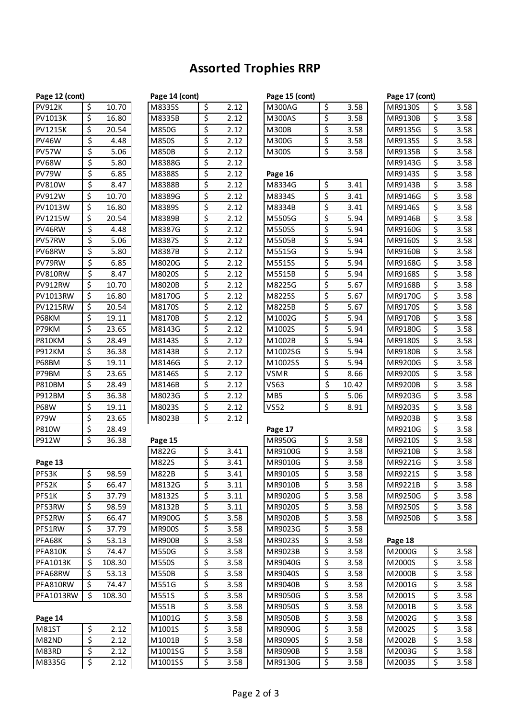# **Assorted Trophies RRP**

| Page 12 (cont)                     |                                                         |                    |
|------------------------------------|---------------------------------------------------------|--------------------|
| <b>PV912K</b>                      | $rac{3}{5}$                                             | 10.70              |
| $\overline{\text{PV}}1013\text{K}$ |                                                         | 16.80              |
| <b>PV1215K</b>                     |                                                         | $20.\overline{54}$ |
| PV46W                              |                                                         | 4.48               |
| PV57W                              |                                                         | 5.06               |
| PV68W                              |                                                         | 5.80               |
| $\overline{\text{PV}}$ 79W         |                                                         | 6.85               |
| <b>PV810W</b>                      |                                                         | 8.47               |
| <b>PV912W</b>                      |                                                         | 10.70              |
| <b>PV1013W</b>                     |                                                         | 16.80              |
| <b>PV1215W</b>                     |                                                         | $\frac{1}{20.54}$  |
| PV46RW                             |                                                         | 4.48               |
| PV57RW                             |                                                         | $\frac{1}{5.06}$   |
| PV68RW                             |                                                         | 5.80               |
| PV79RW                             |                                                         | 6.85               |
| <b>PV810RW</b>                     |                                                         | 8.47               |
| PV912RW                            |                                                         | 10.70              |
| PV1013RW                           |                                                         | $\overline{16.80}$ |
| PV1215RW                           |                                                         | 20.54              |
| P68KM                              |                                                         | 19.11              |
| P79KM                              |                                                         | 23.65              |
| <b>P810KM</b>                      |                                                         | 28.49              |
| <b>P912KM</b>                      |                                                         | 36.38              |
| P68BM                              |                                                         | 19.11              |
| P79BM                              |                                                         | 23.65              |
| <b>P810BM</b>                      |                                                         | 28.49              |
| <b>P912BM</b>                      |                                                         | 36.38              |
| <b>P68W</b>                        |                                                         | 19.11              |
| P79W                               |                                                         | 23.65              |
| <b>P810W</b>                       |                                                         | 28.49              |
| P912W                              | \$                                                      | 36.38              |
|                                    |                                                         |                    |
| Page 13                            |                                                         |                    |
| PFS3K                              |                                                         | 98.59              |
| PFS <sub>2K</sub>                  |                                                         | 66.47              |
| PFS1K                              | $\frac{1}{5}$ $\frac{5}{5}$ $\frac{5}{5}$ $\frac{1}{5}$ | 37.79              |
| PFS3RW                             |                                                         | 98.59              |
| PFS2RW                             |                                                         | 66.47              |

| <b>PV1215K</b> | \$                       | 20.54  | M850G         | \$                       | 2.12 | M300B       | \$                       | 3.58  | MR9135G | \$<br>3.58 |
|----------------|--------------------------|--------|---------------|--------------------------|------|-------------|--------------------------|-------|---------|------------|
| <b>PV46W</b>   | \$                       | 4.48   | M850S         | \$                       | 2.12 | M300G       | \$                       | 3.58  | MR9135S | \$<br>3.58 |
| PV57W          | \$                       | 5.06   | M850B         | \$                       | 2.12 | M300S       | \$                       | 3.58  | MR9135B | \$<br>3.58 |
| <b>PV68W</b>   | \$                       | 5.80   | M8388G        | \$                       | 2.12 |             |                          |       | MR9143G | \$<br>3.58 |
| PV79W          | \$                       | 6.85   | M8388S        | \$                       | 2.12 | Page 16     |                          |       | MR9143S | \$<br>3.58 |
| <b>PV810W</b>  | \$                       | 8.47   | M8388B        | \$                       | 2.12 | M8334G      | \$                       | 3.41  | MR9143B | \$<br>3.58 |
| PV912W         | \$                       | 10.70  | M8389G        | \$                       | 2.12 | M8334S      | \$                       | 3.41  | MR9146G | \$<br>3.58 |
| PV1013W        | \$                       | 16.80  | M8389S        | \$                       | 2.12 | M8334B      | \$                       | 3.41  | MR9146S | \$<br>3.58 |
| PV1215W        | \$                       | 20.54  | M8389B        | \$                       | 2.12 | M5505G      | \$                       | 5.94  | MR9146B | \$<br>3.58 |
| PV46RW         | \$                       | 4.48   | M8387G        | \$                       | 2.12 | M5505S      | \$                       | 5.94  | MR9160G | \$<br>3.58 |
| PV57RW         | \$                       | 5.06   | M8387S        | \$                       | 2.12 | M5505B      | \$                       | 5.94  | MR9160S | \$<br>3.58 |
| PV68RW         | \$                       | 5.80   | M8387B        | \$                       | 2.12 | M5515G      | \$                       | 5.94  | MR9160B | \$<br>3.58 |
| PV79RW         | \$                       | 6.85   | M8020G        | \$                       | 2.12 | M5515S      | \$                       | 5.94  | MR9168G | \$<br>3.58 |
| PV810RW        | \$                       | 8.47   | M8020S        | \$                       | 2.12 | M5515B      | \$                       | 5.94  | MR9168S | \$<br>3.58 |
| PV912RW        | \$                       | 10.70  | M8020B        | \$                       | 2.12 | M8225G      | \$                       | 5.67  | MR9168B | \$<br>3.58 |
| PV1013RW       | \$                       | 16.80  | M8170G        | \$                       | 2.12 | M8225S      | \$                       | 5.67  | MR9170G | \$<br>3.58 |
| PV1215RW       | \$                       | 20.54  | M8170S        | \$                       | 2.12 | M8225B      | \$                       | 5.67  | MR9170S | \$<br>3.58 |
| P68KM          | \$                       | 19.11  | M8170B        | \$                       | 2.12 | M1002G      | \$                       | 5.94  | MR9170B | \$<br>3.58 |
| P79KM          | \$                       | 23.65  | M8143G        | \$                       | 2.12 | M1002S      | \$                       | 5.94  | MR9180G | \$<br>3.58 |
| P810KM         | \$                       | 28.49  | M8143S        | \$                       | 2.12 | M1002B      | \$                       | 5.94  | MR9180S | \$<br>3.58 |
| P912KM         | \$                       | 36.38  | M8143B        | \$                       | 2.12 | M1002SG     | \$                       | 5.94  | MR9180B | \$<br>3.58 |
| P68BM          | \$                       | 19.11  | M8146G        | \$                       | 2.12 | M1002SS     | \$                       | 5.94  | MR9200G | \$<br>3.58 |
| P79BM          | \$                       | 23.65  | M8146S        | \$                       | 2.12 | <b>VSMR</b> | \$                       | 8.66  | MR9200S | \$<br>3.58 |
| P810BM         | \$                       | 28.49  | M8146B        | \$                       | 2.12 | VS63        | \$                       | 10.42 | MR9200B | \$<br>3.58 |
| P912BM         | \$                       | 36.38  | M8023G        | \$                       | 2.12 | MB5         | \$                       | 5.06  | MR9203G | \$<br>3.58 |
| <b>P68W</b>    | \$                       | 19.11  | M8023S        | \$                       | 2.12 | <b>VS52</b> | \$                       | 8.91  | MR9203S | \$<br>3.58 |
| P79W           | \$                       | 23.65  | M8023B        | $\overline{\xi}$         | 2.12 |             |                          |       | MR9203B | \$<br>3.58 |
| P810W          | \$                       | 28.49  |               |                          |      | Page 17     |                          |       | MR9210G | \$<br>3.58 |
| P912W          | \$                       | 36.38  | Page 15       |                          |      | MR950G      | \$                       | 3.58  | MR9210S | \$<br>3.58 |
|                |                          |        | M822G         | \$                       | 3.41 | MR9100G     | \$                       | 3.58  | MR9210B | \$<br>3.58 |
| Page 13        |                          |        | M822S         | $\overline{\mathcal{S}}$ | 3.41 | MR9010G     | \$                       | 3.58  | MR9221G | \$<br>3.58 |
| PFS3K          | \$                       | 98.59  | M822B         | $\overline{\xi}$         | 3.41 | MR9010S     | \$                       | 3.58  | MR9221S | \$<br>3.58 |
| PFS2K          | \$                       | 66.47  | M8132G        | \$                       | 3.11 | MR9010B     | \$                       | 3.58  | MR9221B | \$<br>3.58 |
| PFS1K          | \$                       | 37.79  | M8132S        | \$                       | 3.11 | MR9020G     | \$                       | 3.58  | MR9250G | \$<br>3.58 |
| PFS3RW         | ⇒                        | 98.59  | M8132B        | Ş                        | 3.11 | MR9020S     | \$                       | 3.58  | MR9250S | \$<br>3.58 |
| PFS2RW         | \$                       | 66.47  | <b>MR900G</b> | \$                       | 3.58 | MR9020B     | \$                       | 3.58  | MR9250B | \$<br>3.58 |
| PFS1RW         | \$                       | 37.79  | <b>MR900S</b> | \$                       | 3.58 | MR9023G     | \$                       | 3.58  |         |            |
| PFA68K         | \$                       | 53.13  | <b>MR900B</b> | $\overline{\mathcal{S}}$ | 3.58 | MR9023S     | $\overline{\mathcal{S}}$ | 3.58  | Page 18 |            |
| PFA810K        | \$                       | 74.47  | M550G         | \$                       | 3.58 | MR9023B     | \$                       | 3.58  | M2000G  | \$<br>3.58 |
| PFA1013K       | \$                       | 108.30 | M550S         | \$                       | 3.58 | MR9040G     | \$                       | 3.58  | M2000S  | \$<br>3.58 |
| PFA68RW        | \$                       | 53.13  | M550B         | \$                       | 3.58 | MR9040S     | \$                       | 3.58  | M2000B  | \$<br>3.58 |
| PFA810RW       | \$                       | 74.47  | M551G         | \$                       | 3.58 | MR9040B     | \$                       | 3.58  | M2001G  | \$<br>3.58 |
| PFA1013RW      | \$                       | 108.30 | M551S         | \$                       | 3.58 | MR9050G     | \$                       | 3.58  | M2001S  | \$<br>3.58 |
|                |                          |        | M551B         | \$                       | 3.58 | MR9050S     | \$                       | 3.58  | M2001B  | \$<br>3.58 |
| Page 14        |                          |        | M1001G        | \$                       | 3.58 | MR9050B     | \$                       | 3.58  | M2002G  | \$<br>3.58 |
| M81ST          | \$                       | 2.12   | M1001S        | \$                       | 3.58 | MR9090G     | \$                       | 3.58  | M2002S  | \$<br>3.58 |
| M82ND          | $\overline{\mathcal{S}}$ | 2.12   | M1001B        | \$                       | 3.58 | MR9090S     | \$                       | 3.58  | M2002B  | \$<br>3.58 |
| M83RD          | \$                       | 2.12   | M1001SG       | \$                       | 3.58 | MR9090B     | \$                       | 3.58  | M2003G  | \$<br>3.58 |
| M8335G         | \$                       | 2.12   | M1001SS       | \$                       | 3.58 | MR9130G     | \$                       | 3.58  | M2003S  | \$<br>3.58 |
|                |                          |        |               |                          |      |             |                          |       |         |            |

| Page 12 (cont)      |                          |       | Page 14 (cont) |                          |      | Page 15 (cont)  |             | Page 17 (cont) |                |      |
|---------------------|--------------------------|-------|----------------|--------------------------|------|-----------------|-------------|----------------|----------------|------|
| <b>PV912K</b>       | \$                       | 10.70 | M8335S         | $\overline{\mathcal{S}}$ | 2.12 | M300AG          | \$<br>3.58  | MR9130S        | \$             | 3.58 |
| PV1013K             | \$                       | 16.80 | M8335B         | $\overline{\mathcal{S}}$ | 2.12 | M300AS          | \$<br>3.58  | MR9130B        | \$             | 3.58 |
| <b>PV1215K</b>      | \$                       | 20.54 | M850G          | \$                       | 2.12 | M300B           | \$<br>3.58  | MR9135G        | \$             | 3.58 |
| <b>PV46W</b>        | \$                       | 4.48  | M850S          | \$                       | 2.12 | M300G           | \$<br>3.58  | MR9135S        | \$             | 3.58 |
| PV57W               | \$                       | 5.06  | <b>M850B</b>   | \$                       | 2.12 | M300S           | \$<br>3.58  | MR9135B        | \$             | 3.58 |
| <b>PV68W</b>        | \$                       | 5.80  | M8388G         | \$                       | 2.12 |                 |             | MR9143G        | \$             | 3.58 |
| PV79W               | \$                       | 6.85  | M8388S         | \$                       | 2.12 | Page 16         |             | MR9143S        | \$             | 3.58 |
| <b>PV810W</b>       | \$                       | 8.47  | M8388B         | \$                       | 2.12 | M8334G          | \$<br>3.41  | MR9143B        | \$             | 3.58 |
| PV912W              | \$                       | 10.70 | M8389G         | \$                       | 2.12 | M8334S          | \$<br>3.41  | MR9146G        | \$             | 3.58 |
| PV1013W             | \$                       | 16.80 | M8389S         | $\overline{\xi}$         | 2.12 | M8334B          | \$<br>3.41  | MR9146S        | \$             | 3.58 |
| PV1215W             | \$                       | 20.54 | M8389B         | \$                       | 2.12 | M5505G          | \$<br>5.94  | MR9146B        | \$             | 3.58 |
| PV46RW              | \$                       | 4.48  | M8387G         | \$                       | 2.12 | M5505S          | \$<br>5.94  | MR9160G        | \$             | 3.58 |
| PV57RW              | \$                       | 5.06  | M8387S         | \$                       | 2.12 | M5505B          | \$<br>5.94  | MR9160S        | \$             | 3.58 |
| PV68RW              | \$                       | 5.80  | M8387B         | $\overline{\mathsf{S}}$  | 2.12 | M5515G          | \$<br>5.94  | MR9160B        | \$             | 3.58 |
| PV79RW              | \$                       | 6.85  | M8020G         | \$                       | 2.12 | M5515S          | \$<br>5.94  | MR9168G        | \$             | 3.58 |
| PV810RW             | $\overline{\mathsf{S}}$  | 8.47  | M8020S         | \$                       | 2.12 | M5515B          | \$<br>5.94  | MR9168S        | \$             | 3.58 |
| PV912RW             | \$                       | 10.70 | M8020B         | \$                       | 2.12 | M8225G          | \$<br>5.67  | MR9168B        | \$             | 3.58 |
| PV1013RW            | \$                       | 16.80 | M8170G         | \$                       | 2.12 | M8225S          | \$<br>5.67  | MR9170G        | \$             | 3.58 |
| <b>PV1215RW</b>     | \$                       | 20.54 | M8170S         | \$                       | 2.12 | M8225B          | \$<br>5.67  | MR9170S        | \$             | 3.58 |
| P68KM               | \$                       | 19.11 | M8170B         | \$                       | 2.12 | M1002G          | \$<br>5.94  | MR9170B        | \$             | 3.58 |
| P79KM               | \$                       | 23.65 | M8143G         | \$                       | 2.12 | M1002S          | \$<br>5.94  | MR9180G        | \$             | 3.58 |
| P810KM              | \$                       | 28.49 | M8143S         | \$                       | 2.12 | M1002B          | \$<br>5.94  | MR9180S        | \$             | 3.58 |
| P912KM              | \$                       | 36.38 | M8143B         | \$                       | 2.12 | M1002SG         | \$<br>5.94  | MR9180B        | \$             | 3.58 |
| P68BM               | \$                       | 19.11 | M8146G         | \$                       | 2.12 | M1002SS         | \$<br>5.94  | MR9200G        | \$             | 3.58 |
| P79BM               | \$                       | 23.65 | M8146S         | \$                       | 2.12 | VSMR            | \$<br>8.66  | MR9200S        | \$             | 3.58 |
| P810BM              | \$                       | 28.49 | M8146B         | \$                       | 2.12 | <b>VS63</b>     | \$<br>10.42 | MR9200B        | \$             | 3.58 |
| P912BM              | \$                       | 36.38 | M8023G         | \$                       | 2.12 | MB <sub>5</sub> | \$<br>5.06  | MR9203G        | \$             | 3.58 |
| P68W                | \$                       | 19.11 | M8023S         | \$                       | 2.12 | <b>VS52</b>     | \$<br>8.91  | MR9203S        | \$             | 3.58 |
| P79W                | \$                       | 23.65 | M8023B         | \$                       | 2.12 |                 |             | MR9203B        | \$             | 3.58 |
| P810W               | \$                       | 28.49 |                |                          |      | Page 17         |             | MR9210G        | \$             | 3.58 |
| P912W               | \$                       | 36.38 | Page 15        |                          |      | MR950G          | \$<br>3.58  | MR9210S        | \$             | 3.58 |
|                     |                          |       | M822G          | \$                       | 3.41 | MR9100G         | \$<br>3.58  | MR9210B        | \$             | 3.58 |
| Page 13             |                          |       | M822S          | \$                       | 3.41 | MR9010G         | \$<br>3.58  | MR9221G        | \$             | 3.58 |
| PFS3K               | \$                       | 98.59 | M822B          | \$                       | 3.41 | MR9010S         | \$<br>3.58  | MR9221S        | \$             | 3.58 |
| PFS2K               | $\overline{\mathcal{S}}$ | 66.47 | M8132G         | \$                       | 3.11 | MR9010B         | \$<br>3.58  | MR9221B        | \$             | 3.58 |
| PFS1K               | \$                       | 37.79 | M8132S         | \$                       | 3.11 | MR9020G         | \$<br>3.58  | MR9250G        | \$             | 3.58 |
| PFS3RW              | \$                       | 98.59 | M8132B         | \$                       | 3.11 | MR9020S         | \$<br>3.58  | MR9250S        | \$             | 3.58 |
| $n$ $n$ $n$ $n$ $n$ | $\overline{a}$           | CCA7  | 0.00000        | $\overline{a}$           | 2.50 | 0.000200        | 2.50        | MDO2FOD        | $\overline{a}$ | 200  |

| \$               | 3.58                                                                                                                                                                                                                                                                                        |
|------------------|---------------------------------------------------------------------------------------------------------------------------------------------------------------------------------------------------------------------------------------------------------------------------------------------|
|                  |                                                                                                                                                                                                                                                                                             |
| $\overline{\xi}$ | 3.58                                                                                                                                                                                                                                                                                        |
|                  | 3.58                                                                                                                                                                                                                                                                                        |
|                  | 3.58                                                                                                                                                                                                                                                                                        |
|                  | 3.58                                                                                                                                                                                                                                                                                        |
|                  | 3.58                                                                                                                                                                                                                                                                                        |
|                  | 3.58                                                                                                                                                                                                                                                                                        |
|                  | 3.58                                                                                                                                                                                                                                                                                        |
|                  | 3.58                                                                                                                                                                                                                                                                                        |
|                  | $\overline{3.58}$                                                                                                                                                                                                                                                                           |
|                  | 3.58                                                                                                                                                                                                                                                                                        |
|                  | 3.58                                                                                                                                                                                                                                                                                        |
|                  | 3.58                                                                                                                                                                                                                                                                                        |
|                  | 3.58                                                                                                                                                                                                                                                                                        |
|                  | 3.58                                                                                                                                                                                                                                                                                        |
|                  | 3.58                                                                                                                                                                                                                                                                                        |
|                  | 3.58                                                                                                                                                                                                                                                                                        |
|                  | 3.58                                                                                                                                                                                                                                                                                        |
|                  | 3.58                                                                                                                                                                                                                                                                                        |
|                  | $\frac{1}{2.58}$                                                                                                                                                                                                                                                                            |
|                  | 3.58                                                                                                                                                                                                                                                                                        |
|                  | 3.58                                                                                                                                                                                                                                                                                        |
|                  | 3.58                                                                                                                                                                                                                                                                                        |
|                  | 3.58                                                                                                                                                                                                                                                                                        |
|                  | 3.58                                                                                                                                                                                                                                                                                        |
|                  | 3.58                                                                                                                                                                                                                                                                                        |
|                  | 3.58                                                                                                                                                                                                                                                                                        |
|                  | $3.\overline{58}$                                                                                                                                                                                                                                                                           |
|                  | 3.58                                                                                                                                                                                                                                                                                        |
|                  | $\overline{3.58}$                                                                                                                                                                                                                                                                           |
|                  | 3.58                                                                                                                                                                                                                                                                                        |
|                  | 3.58                                                                                                                                                                                                                                                                                        |
|                  | 3.58                                                                                                                                                                                                                                                                                        |
|                  | 3.58                                                                                                                                                                                                                                                                                        |
|                  | 3.58                                                                                                                                                                                                                                                                                        |
|                  | 3.58                                                                                                                                                                                                                                                                                        |
|                  | 3.58                                                                                                                                                                                                                                                                                        |
|                  | 3.58                                                                                                                                                                                                                                                                                        |
|                  | \$<br>\$<br>\$<br>$\overline{\xi}$<br>$\overline{\xi}$<br>\$<br>\$<br>\$<br>\$<br>\$<br>$\overline{\xi}$<br>\$<br>\$<br>$\overline{\xi}$<br>\$<br>$rac{1}{5}$<br>$\overline{\xi}$<br>$rac{1}{5}$<br>\$<br>\$<br>$rac{5}{5}$<br>\$<br>\$<br>$\overline{\xi}$<br>$rac{1}{5}$<br>$\frac{1}{2}$ |

| Page 18 |    |      |
|---------|----|------|
| M2000G  | \$ | 3.58 |
| M2000S  | \$ | 3.58 |
| M2000B  | \$ | 3.58 |
| M2001G  | \$ | 3.58 |
| M2001S  | \$ | 3.58 |
| M2001B  | \$ | 3.58 |
| M2002G  | \$ | 3.58 |
| M2002S  | \$ | 3.58 |
| M2002B  | \$ | 3.58 |
| M2003G  | \$ | 3.58 |
| M2003S  | Ś  | 3.58 |

| <b>M81ST</b> | Ś | 2.12 |
|--------------|---|------|
| M82ND        |   | 2.12 |
| M83RD        |   | 2.12 |
| M8335G       |   | 2.12 |